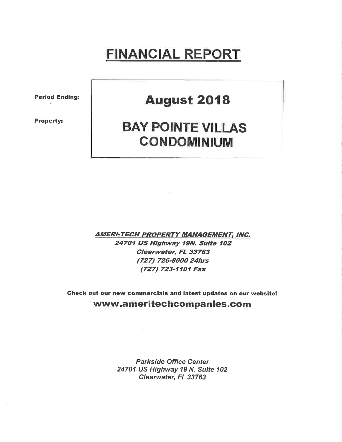# FINANCIAL REPORT

Period Ending:

Property:

**August 2018** 

## BAY POINTE VILLAS CONDOMINIUM

**AMERI-TECH PROPERTY MANAGEMENT. INC.** 24701 US Highway 19N. Suite 102 Glearwater, FL 33763 (727) 726-8000 24hrs (727) 723-1101 Fax

Check out our new commercials and latest updates on our website! www.ameritechcompanies.com

> Parkside Office Center 24701 US Highway 19 N. Suite 102 Clearwater, Fl 33763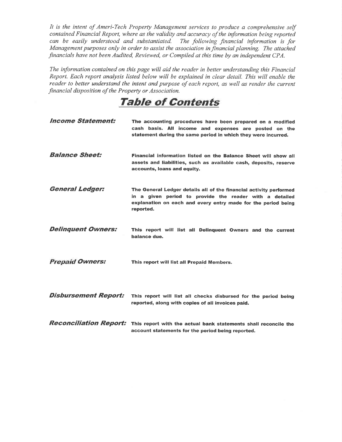It is the intent of Ameri-Tech Property Management seryices to produce a comprehensive self contained Financial Report, where as the validity and accuracy of the information being reported can be easily understood and substantiated. The following financial information is for Management purposes only in order to assist the association in financial planning. The attached financials have not been Audited, Reviewed, or Compiled at this time by an independent CPA.

The information contained on this page will aid the reader in better understanding this Financial Report. Each report analysis listed below will be explained in clear detail. This will enable the reader to better understand the intent and purpose of each report, as well as render the current financial disposition of the Property or Association.

TaþIe of Contents

| <b>Income Statement:</b>    | The accounting procedures have been prepared on a modified<br>cash basis. All income and expenses are posted on the<br>statement during the same period in which they were incurred.                        |
|-----------------------------|-------------------------------------------------------------------------------------------------------------------------------------------------------------------------------------------------------------|
| <b>Balance Sheet:</b>       | Financial information listed on the Balance Sheet will show all<br>assets and liabilities, such as available cash, deposits, reserve<br>accounts, loans and equity.                                         |
| <b>General Ledger:</b>      | The General Ledger details all of the financial activity performed<br>in a given period to provide the reader with a detailed<br>explanation on each and every entry made for the period being<br>reported. |
| <b>Delinquent Owners:</b>   | This report will list all Delinquent Owners and the current<br>balance due.                                                                                                                                 |
| <b>Prepaid Owners:</b>      | This report will list all Prepaid Members.                                                                                                                                                                  |
| <b>Disbursement Report:</b> | This report will list all checks disbursed for the period being<br>reported, along with copies of all invoices paid.                                                                                        |
|                             | <b>Reconciliation Report:</b> This report with the actual bank statements shall reconcile the<br>account statements for the period being reported.                                                          |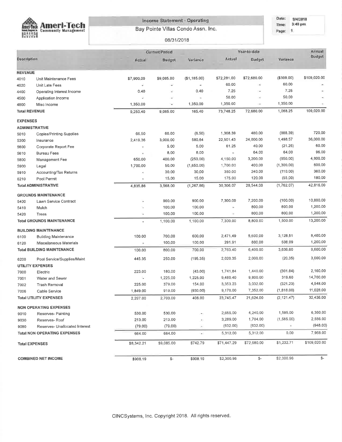

#### **Income Statement - Operating**

Bay Pointe Villas Condo Assn. Inc.

#### Date: 9/4/2018 Time: 3:40 pm Page: 1

#### 08/31/2018

|                      |                                     |                          | <b>Current Period</b> |              |             | Year-to-date             |             | Annual       |
|----------------------|-------------------------------------|--------------------------|-----------------------|--------------|-------------|--------------------------|-------------|--------------|
| Description          |                                     | Actual                   | <b>Budget</b>         | Variance     | Actual      | <b>Budget</b>            | Variance    | Budget       |
|                      |                                     |                          |                       |              |             |                          |             |              |
| <b>REVENUE</b>       |                                     |                          |                       |              |             |                          |             |              |
| 4010                 | Unit Maintenance Fees               | \$7,900.00               | \$9,085.00            | (\$1,185.00) | \$72,281.00 | \$72,680.00              | (\$399.00)  | \$109,020.00 |
| 4020                 | Unit Late Fees                      | ÷                        | ÷                     | ÷            | 60.00       | $\overline{\phantom{a}}$ | 60.00       |              |
| 4400                 | Operating Interest Income           | 0.40                     | ÷                     | 0,40         | 7.25        | $\overline{\phantom{a}}$ | 7.25        |              |
| 4500                 | Application Income                  | Ξ                        | ٠                     | ×            | 50.00       | ×                        | 50,00       |              |
| 4800                 | Misc Income                         | 1,350.00                 | Ξ                     | 1,350.00     | 1,350.00    | $\frac{1}{2}$            | 1,350.00    |              |
| <b>Total REVENUE</b> |                                     | 9,250.40                 | 9,085.00              | 165.40       | 73,748.25   | 72,680.00                | 1,068.25    | 109,020.00   |
| <b>EXPENSES</b>      |                                     |                          |                       |              |             |                          |             |              |
|                      | <b>ADMINISTRATIVE</b>               |                          |                       |              |             |                          |             |              |
| 5010                 | <b>Copies/Printing Supplies</b>     | 66.50                    | 60.00                 | (6.50)       | 1,368.39    | 480.00                   | (888.39)    | 720.00       |
| 5300                 | Insurance                           | 2,419.36                 | 3,000.00              | 580.64       | 22,501.43   | 24,000.00                | 1,498.57    | 36,000.00    |
| 5600                 | Corporate Report Fee                | ×                        | 5.00                  | 5.00         | 61.25       | 40.00                    | (21.25)     | 60.00        |
| 5610                 | <b>Bureau Fees</b>                  |                          | 8,00                  | 8,00         |             | 64.00                    | 64.00       | 96.00        |
| 5800                 | Management Fee                      | 650.00                   | 400.00                | (250.00)     | 4,150.00    | 3,200.00                 | (950.00)    | 4,800.00     |
| 5900                 | Legal                               | 1,700.00                 | 50.00                 | (1,650.00)   | 1,700.00    | 400.00                   | (1,300.00)  | 600.00       |
| 5910                 | Accounting/Tax Returns              | $\overline{\phantom{a}}$ | 30.00                 | 30.00        | 350.00      | 240.00                   | (110.00)    | 360.00       |
| 6210                 | Pool Permit                         |                          | 15,00                 | 15.00        | 175.00      | 120.00                   | (55,00)     | 180.00       |
|                      | <b>Total ADMINISTRATIVE</b>         | 4,835.86                 | 3,568.00              | (1, 267.86)  | 30,306.07   | 28,544.00                | (1,762.07)  | 42,816,00    |
|                      | <b>GROUNDS MAINTENANCE</b>          |                          |                       |              |             |                          |             |              |
| 5400                 | Lawn Service Contract               | ٧                        | 900.00                | 900.00       | 7,300.00    | 7,200.00                 | (100.00)    | 10,800.00    |
| 5410                 | Mulch                               |                          | 100.00                | 100.00       |             | 800.00                   | 800.00      | 1,200.00     |
| 5420                 | Trees                               | u,                       | 100.00                | 100,00       | s           | 800.00                   | 800,00      | 1,200.00     |
|                      | <b>Total GROUNDS MAINTENANCE</b>    | ×                        | 1,100.00              | 1,100.00     | 7,300.00    | 8,800.00                 | 1,500.00    | 13,200.00    |
|                      | <b>BUILDING MAINTENANCE</b>         |                          |                       |              |             |                          |             |              |
| 6100                 | <b>Building Maintenance</b>         | 100.00                   | 700.00                | 600.00       | 2,471,49    | 5,600,00                 | 3,128,51    | 8,400.00     |
| 6120                 | Miscellaneous Materials             | ÷                        | 100.00                | 100.00       | 291.91      | 800,00                   | 508,09      | 1,200.00     |
|                      | <b>Total BUILDING MAINTENANCE</b>   | 100.00                   | 800,00                | 700.00       | 2,763.40    | 6,400.00                 | 3,636.60    | 9,600.00     |
| 6200                 | Pool Service/Supplies/Maint         | 445,35                   | 250.00                | (195.35)     | 2,020.35    | 2,000.00                 | (20.35)     | 3,000.00     |
|                      | <b>UTILITY EXPENSES</b>             |                          |                       |              |             |                          |             |              |
| 7000                 | Electric                            | 223.00                   | 180.00                | (43.00)      | 1,741.84    | 1,440.00                 | (301.84)    | 2,160.00     |
| 7001                 | Water and Sewer                     | ÷.                       | 1,225.00              | 1,225.00     | 9,480.40    | 9,800.00                 | 319,60      | 14,700.00    |
| 7002                 | <b>Trash Removal</b>                | 225.00                   | 379.00                | 154.00       | 3,353.23    | 3,032.00                 | (321.23)    | 4,548.00     |
| 7006                 | Cable Service                       | 1,849.00                 | 919,00                | (930.00)     | 9,170.00    | 7,352.00                 | (1, 818.00) | 11,028.00    |
|                      | <b>Total UTILITY EXPENSES</b>       | 2,297.00                 | 2,703.00              | 406.00       | 23,745.47   | 21,624.00                | (2, 121.47) | 32,436.00    |
|                      | <b>NON OPERATING EXPENSES</b>       |                          |                       |              |             |                          |             |              |
| 9010                 | Reserves- Painting                  | 530.00                   | 530.00                | ÷.           | 2,655.00    | 4,240.00                 | 1,585.00    | 6,360,00     |
| 9030                 | Reserves-Roof                       | 213.00                   | 213.00                | ÷,           | 3,289.00    | 1,704.00                 | (1,585.00)  | 2,556.00     |
| 9080                 | Reserves- Unallocated Interest      | (79.00)                  | (79.00)               |              | (632.00)    | (632.00)                 | ÷           | (948.00)     |
|                      | <b>Total NON OPERATING EXPENSES</b> | 664.00                   | 664.00                | ÷.           | 5,312.00    | 5,312.00                 | 0.00        | 7,968.00     |
|                      | <b>Total EXPENSES</b>               | \$8,342.21               | \$9,085.00            | \$742.79     | \$71,447.29 | \$72,680.00              | \$1,232.71  | \$109,020.00 |
|                      |                                     |                          |                       |              |             |                          |             |              |
|                      | <b>COMBINED NET INCOME</b>          | \$908.19                 | \$-                   | \$908.19     | \$2,300.96  | \$-                      | \$2,300.96  | $S-$         |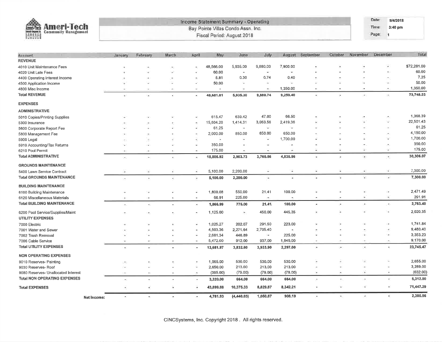| <b>Ameri-Tech</b><br>Armen's Trech<br><b>Community Management</b><br><b>Thel</b> |                    |                          |              |                          |                       |           | Income Statement Summary - Operating<br>Bay Pointe Villas Condo Assn. Inc.<br>Fiscal Period: August 2018 |                     |          |                  |                          |           | Date:<br>Time:<br>Page: | 9/4/2018<br>3:40 pm<br>-1 |             |
|----------------------------------------------------------------------------------|--------------------|--------------------------|--------------|--------------------------|-----------------------|-----------|----------------------------------------------------------------------------------------------------------|---------------------|----------|------------------|--------------------------|-----------|-------------------------|---------------------------|-------------|
| Account                                                                          |                    | January                  | February     | March                    | April                 | May       | June                                                                                                     | July.               |          | August September | October                  | November. | December                |                           | Total       |
| <b>REVENUE</b>                                                                   |                    |                          |              |                          |                       |           |                                                                                                          |                     |          |                  |                          |           |                         |                           |             |
| 4010 Unit Maintenance Fees                                                       |                    |                          |              |                          |                       | 48,566.00 | 5,935.00                                                                                                 | 9,880.00            | 7,900.00 |                  |                          |           |                         |                           | \$72,281.00 |
| 4020 Unit Late Fees                                                              |                    |                          |              |                          |                       | 60.00     | G.                                                                                                       | á.                  | ίü,      |                  |                          |           |                         |                           | 60.00       |
| 4400 Operating Interest Income                                                   |                    |                          |              |                          |                       | 5,81      | 0.30                                                                                                     | 0.74                | 0.40     |                  |                          |           |                         |                           | 7.25        |
| 4500 Application Income                                                          |                    |                          |              |                          | ä,                    | 50,00     | ÷                                                                                                        | $\bar{a}$           |          |                  |                          |           |                         | ÷                         | 50.00       |
| 4800 Misc Income                                                                 |                    |                          |              |                          | ÷                     | ۰         | $\bar{a}$                                                                                                | $\bullet$           | 1,350.00 | ٠                |                          |           |                         |                           | 1,350.00    |
| <b>Total REVENUE</b>                                                             |                    | ç.                       | $\mathbf{r}$ |                          | $\langle \mu \rangle$ | 48,681.81 | 5,935,30                                                                                                 | 9,880.74            | 9,250.40 | $\mathbf{u}_0$   | $\overline{\phantom{a}}$ | $\bullet$ |                         | ò.                        | 73,748.25   |
| <b>EXPENSES</b>                                                                  |                    |                          |              |                          |                       |           |                                                                                                          |                     |          |                  |                          |           |                         |                           |             |
| <b>ADMINISTRATIVE</b>                                                            |                    |                          |              |                          |                       |           |                                                                                                          |                     |          |                  |                          |           |                         |                           |             |
| 5010 Copies/Printing Supplies                                                    |                    |                          |              |                          | ¥                     | 615.47    | 639.42                                                                                                   | 47.00               | 66.50    |                  |                          |           |                         |                           | 1,368.39    |
| 5300 Insurance                                                                   |                    |                          |              |                          | $\overline{ }$        | 15,604.20 | 1,414.31                                                                                                 | 3,063.56            | 2,419.36 |                  |                          |           |                         |                           | 22,501.43   |
| 5600 Corporate Report Fee                                                        |                    |                          |              |                          | ¥.                    | 61.25     | ×.                                                                                                       | ΣÜ,                 | ÷        |                  |                          |           |                         |                           | 61.25       |
| 5800 Management Fee                                                              |                    |                          |              |                          | ٠                     | 2,000.00  | 850.00                                                                                                   | 650.00              | 650.00   |                  |                          |           |                         |                           | 4,150.00    |
| 5900 Legal                                                                       |                    |                          |              |                          | ٠                     |           | œ                                                                                                        | ÷                   | 1,700.00 |                  |                          |           |                         | ÷,                        | 1,700.00    |
| 5910 Accounting/Tax Returns                                                      |                    | ÷                        |              |                          | ÷                     | 350.00    | ίü,                                                                                                      | ×,                  | ٠        |                  |                          |           |                         |                           | 350,00      |
| 6210 Pool Permit                                                                 |                    |                          |              |                          | ٠                     | 175.00    | $\bullet$                                                                                                | ٠                   |          |                  |                          | 9         |                         | a                         | 175.00      |
| <b>Total ADMINISTRATIVE</b>                                                      |                    | ٠                        |              | $\overline{\phantom{a}}$ | $\ddot{\phantom{0}}$  | 18,805.92 | 2,903.73                                                                                                 | 3,760.56            | 4,835.86 |                  |                          | ÷         |                         | $\tilde{\phantom{a}}$     | 30,306.07   |
| <b>GROUNDS MAINTENANCE</b>                                                       |                    |                          |              |                          |                       |           |                                                                                                          |                     |          |                  |                          |           |                         |                           |             |
| 5400 Lawn Service Contract                                                       |                    |                          |              |                          | ÷,                    | 5,100.00  | 2,200.00                                                                                                 |                     | ä        |                  |                          |           |                         | Ω                         | 7,300.00    |
| <b>Total GROUNDS MAINTENANCE</b>                                                 |                    | ٠                        |              | ν                        | Ξ                     | 5,100.00  | 2,200.00                                                                                                 | $\hat{\phantom{a}}$ | ۷        |                  |                          | ×         |                         | E.                        | 7,300.00    |
| <b>BUILDING MAINTENANCE</b>                                                      |                    |                          |              |                          |                       |           |                                                                                                          |                     |          |                  |                          |           |                         |                           |             |
| 6100 Building Maintenance                                                        |                    |                          |              |                          | Ξ                     | 1,800.08  | 550.00                                                                                                   | 21.41               | 100.00   |                  |                          |           |                         | ٠                         | 2,471.49    |
| 6120 Miscellaneous Materials                                                     |                    |                          |              | ۰                        | $\blacksquare$        | 66.91     | 225.00                                                                                                   | $\overline{a}$      | ٠        |                  |                          |           |                         | c                         | 291.91      |
| <b>Total BUILDING MAINTENANCE</b>                                                |                    | ×                        |              | ٠                        | $\bullet$             | 1,866.99  | 775.00                                                                                                   | 21.41               | 100.00   | $\bullet$        | $\sim$                   | ٠         |                         | ×,                        | 2,763.40    |
| 6200 Pool Service/Supplies/Maint<br><b>UTILITY EXPENSES</b>                      |                    |                          |              |                          | $\overline{a}$        | 1,125.00  | $\overline{\phantom{a}}$                                                                                 | 450.00              | 445,35   | Ξ                |                          |           |                         |                           | 2,020.35    |
| 7000 Electric                                                                    |                    |                          |              |                          | ¥,                    | 1,025.27  | 202.07                                                                                                   | 291.50              | 223.00   |                  |                          |           |                         | ×                         | 1,741.84    |
| 7001 Water and Sewer                                                             |                    |                          |              |                          | ×                     | 4,503.36  | 2,271.64                                                                                                 | 2,705.40            | ٠        |                  |                          |           |                         | ×                         | 9,480.40    |
| 7002 Trash Removal                                                               |                    |                          |              |                          | ٠                     | 2,681.34  | 446.89                                                                                                   | ÷.                  | 225.00   |                  |                          |           |                         | ×.                        | 3,353.23    |
| 7006 Cable Service                                                               |                    | ۰                        |              | ¥                        | $\tilde{\phantom{a}}$ | 5,472.00  | 912,00                                                                                                   | 937.00              | 1,849.00 |                  |                          |           |                         | ×                         | 9,170.00    |
| <b>Total UTILITY EXPENSES</b>                                                    |                    |                          |              |                          | ίü,                   | 13,681.97 | 3,832.60                                                                                                 | 3,933.90            | 2,297.00 | $\sim$           | ٠                        |           |                         |                           | 23,745.47   |
| <b>NON OPERATING EXPENSES</b>                                                    |                    |                          |              |                          |                       |           |                                                                                                          |                     |          |                  |                          |           |                         |                           |             |
| 9010 Reserves- Painting                                                          |                    |                          |              |                          | ×                     | 1,065.00  | 530.00                                                                                                   | 530.00              | 530.00   |                  |                          |           |                         | ia.                       | 2,655.00    |
| 9030 Reserves- Roof                                                              |                    | ¥                        |              | Ψ                        | ÷.                    | 2,650.00  | 213.00                                                                                                   | 213.00              | 213.00   |                  |                          |           |                         |                           | 3,289.00    |
| 9080 Reserves- Unallocated Interest                                              |                    |                          |              | $\overline{a}$           | ÷                     | (395.00)  | (79.00)                                                                                                  | (79.00)             | (79.00)  | $\overline{a}$   | ٠                        | ×.        |                         | ä,                        | (632.00)    |
| <b>Total NON OPERATING EXPENSES</b>                                              |                    |                          |              | ٠                        | ņн,                   | 3,320.00  | 664.00                                                                                                   | 664.00              | 664.00   | ÷                | ۰                        |           |                         | ٠                         | 5,312.00    |
| <b>Total EXPENSES</b>                                                            |                    | $\overline{\phantom{a}}$ | ¥            | Θ                        | ×                     | 43,899.88 | 10,375.33                                                                                                | 8,829.87            | 8,342.21 | ò,               | ×                        | i.        |                         | 43                        | 71,447.29   |
|                                                                                  | <b>Net Income:</b> | ٠                        | $\sim$       | ×                        | ÷                     | 4,781.93  | (4, 440.03)                                                                                              | 1,050.87            | 908.19   | $\sim$           | ÷.                       | ÷.        |                         | ۰                         | 2,300.96    |